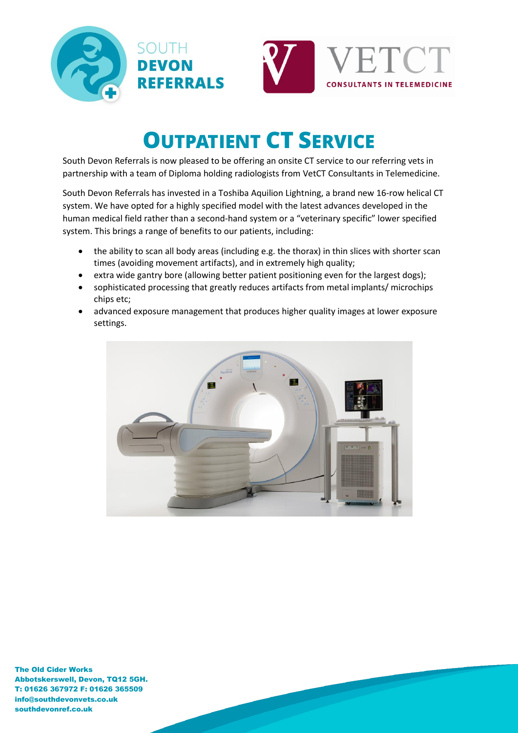



# **OUTPATIENT CT SERVICE**

South Devon Referrals is now pleased to be offering an onsite CT service to our referring vets in partnership with a team of Diploma holding radiologists from VetCT Consultants in Telemedicine.

South Devon Referrals has invested in a Toshiba Aquilion Lightning, a brand new 16-row helical CT system. We have opted for a highly specified model with the latest advances developed in the human medical field rather than a second-hand system or a "veterinary specific" lower specified system. This brings a range of benefits to our patients, including:

- the ability to scan all body areas (including e.g. the thorax) in thin slices with shorter scan times (avoiding movement artifacts), and in extremely high quality;
- extra wide gantry bore (allowing better patient positioning even for the largest dogs);
- sophisticated processing that greatly reduces artifacts from metal implants/ microchips chips etc;
- advanced exposure management that produces higher quality images at lower exposure settings.

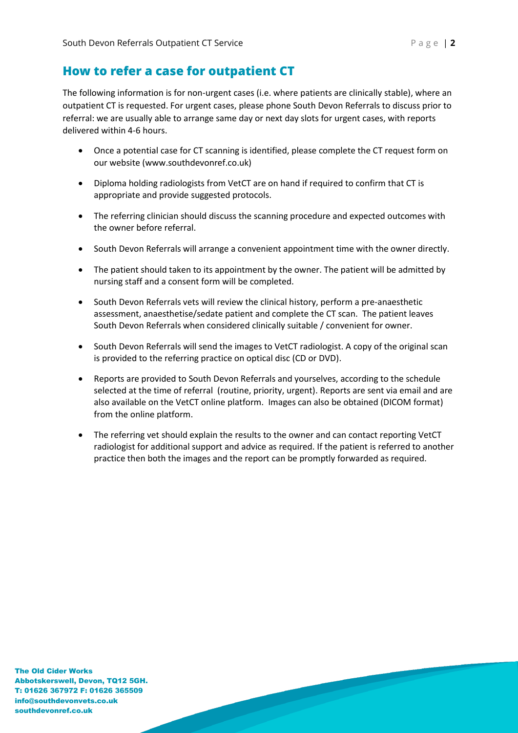## **How to refer a case for outpatient CT**

The following information is for non-urgent cases (i.e. where patients are clinically stable), where an outpatient CT is requested. For urgent cases, please phone South Devon Referrals to discuss prior to referral: we are usually able to arrange same day or next day slots for urgent cases, with reports delivered within 4-6 hours.

- Once a potential case for CT scanning is identified, please complete the CT request form on our website (www.southdevonref.co.uk)
- Diploma holding radiologists from VetCT are on hand if required to confirm that CT is appropriate and provide suggested protocols.
- The referring clinician should discuss the scanning procedure and expected outcomes with the owner before referral.
- South Devon Referrals will arrange a convenient appointment time with the owner directly.
- The patient should taken to its appointment by the owner. The patient will be admitted by nursing staff and a consent form will be completed.
- South Devon Referrals vets will review the clinical history, perform a pre-anaesthetic assessment, anaesthetise/sedate patient and complete the CT scan. The patient leaves South Devon Referrals when considered clinically suitable / convenient for owner.
- South Devon Referrals will send the images to VetCT radiologist. A copy of the original scan is provided to the referring practice on optical disc (CD or DVD).
- Reports are provided to South Devon Referrals and yourselves, according to the schedule selected at the time of referral (routine, priority, urgent). Reports are sent via email and are also available on the VetCT online platform. Images can also be obtained (DICOM format) from the online platform.
- The referring vet should explain the results to the owner and can contact reporting VetCT radiologist for additional support and advice as required. If the patient is referred to another practice then both the images and the report can be promptly forwarded as required.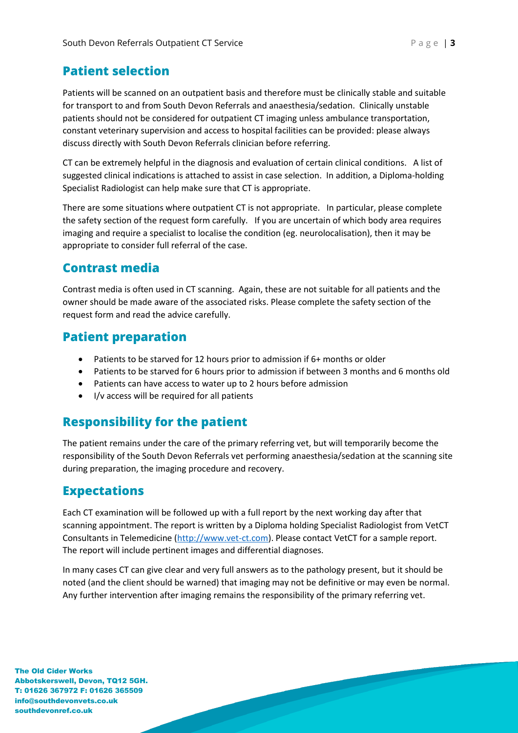## **Patient selection**

Patients will be scanned on an outpatient basis and therefore must be clinically stable and suitable for transport to and from South Devon Referrals and anaesthesia/sedation. Clinically unstable patients should not be considered for outpatient CT imaging unless ambulance transportation, constant veterinary supervision and access to hospital facilities can be provided: please always discuss directly with South Devon Referrals clinician before referring.

CT can be extremely helpful in the diagnosis and evaluation of certain clinical conditions. A list of suggested clinical indications is attached to assist in case selection. In addition, a Diploma-holding Specialist Radiologist can help make sure that CT is appropriate.

There are some situations where outpatient CT is not appropriate. In particular, please complete the safety section of the request form carefully. If you are uncertain of which body area requires imaging and require a specialist to localise the condition (eg. neurolocalisation), then it may be appropriate to consider full referral of the case.

## **Contrast media**

Contrast media is often used in CT scanning. Again, these are not suitable for all patients and the owner should be made aware of the associated risks. Please complete the safety section of the request form and read the advice carefully.

## **Patient preparation**

- Patients to be starved for 12 hours prior to admission if 6+ months or older
- Patients to be starved for 6 hours prior to admission if between 3 months and 6 months old
- Patients can have access to water up to 2 hours before admission
- I/v access will be required for all patients

## **Responsibility for the patient**

The patient remains under the care of the primary referring vet, but will temporarily become the responsibility of the South Devon Referrals vet performing anaesthesia/sedation at the scanning site during preparation, the imaging procedure and recovery.

## **Expectations**

Each CT examination will be followed up with a full report by the next working day after that scanning appointment. The report is written by a Diploma holding Specialist Radiologist from VetCT Consultants in Telemedicine [\(http://www.vet-ct.com\)](http://www.vet-ct.com/). Please contact VetCT for a sample report. The report will include pertinent images and differential diagnoses.

In many cases CT can give clear and very full answers as to the pathology present, but it should be noted (and the client should be warned) that imaging may not be definitive or may even be normal. Any further intervention after imaging remains the responsibility of the primary referring vet.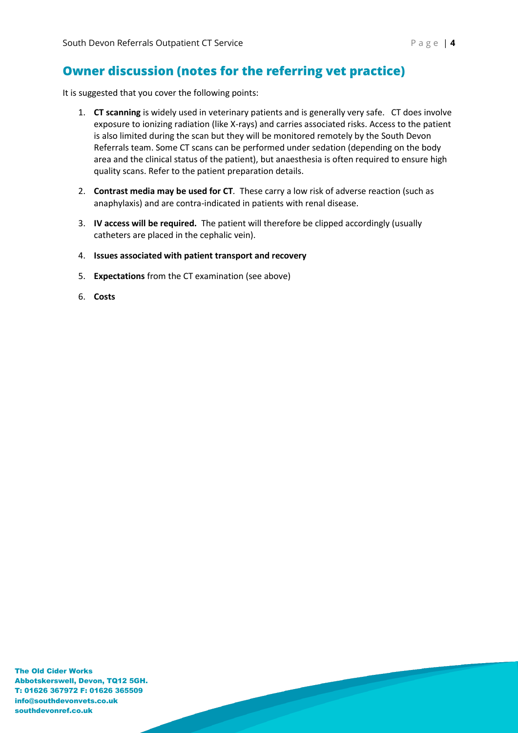## **Owner discussion (notes for the referring vet practice)**

It is suggested that you cover the following points:

- 1. **CT scanning** is widely used in veterinary patients and is generally very safe. CT does involve exposure to ionizing radiation (like X-rays) and carries associated risks. Access to the patient is also limited during the scan but they will be monitored remotely by the South Devon Referrals team. Some CT scans can be performed under sedation (depending on the body area and the clinical status of the patient), but anaesthesia is often required to ensure high quality scans. Refer to the patient preparation details.
- 2. **Contrast media may be used for CT***.* These carry a low risk of adverse reaction (such as anaphylaxis) and are contra-indicated in patients with renal disease.
- 3. **IV access will be required.** The patient will therefore be clipped accordingly (usually catheters are placed in the cephalic vein).
- 4. **Issues associated with patient transport and recovery**
- 5. **Expectations** from the CT examination (see above)
- 6. **Costs**